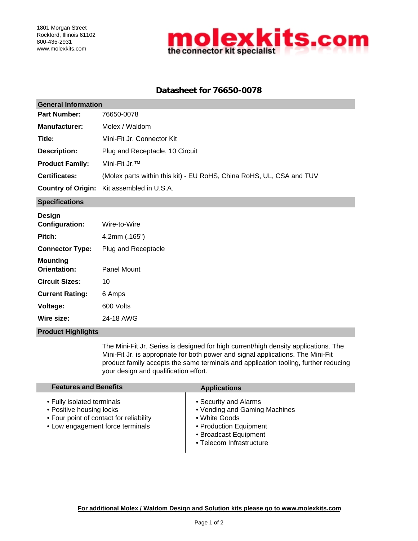

# **Datasheet for 76650-0078**

| <b>General Information</b> |                                                                      |  |  |  |
|----------------------------|----------------------------------------------------------------------|--|--|--|
| <b>Part Number:</b>        | 76650-0078                                                           |  |  |  |
| <b>Manufacturer:</b>       | Molex / Waldom                                                       |  |  |  |
| Title:                     | Mini-Fit Jr. Connector Kit                                           |  |  |  |
| Description:               | Plug and Receptacle, 10 Circuit                                      |  |  |  |
| <b>Product Family:</b>     | Mini-Fit Jr. <sup>™</sup>                                            |  |  |  |
| <b>Certificates:</b>       | (Molex parts within this kit) - EU RoHS, China RoHS, UL, CSA and TUV |  |  |  |
|                            | <b>Country of Origin:</b> Kit assembled in U.S.A.                    |  |  |  |
|                            |                                                                      |  |  |  |

### **Specifications**

| Design<br>Configuration:        | Wire-to-Wire        |
|---------------------------------|---------------------|
| Pitch:                          | $4.2$ mm $(.165")$  |
| <b>Connector Type:</b>          | Plug and Receptacle |
| <b>Mounting</b><br>Orientation: | Panel Mount         |
| <b>Circuit Sizes:</b>           | 10                  |
| <b>Current Rating:</b>          | 6 Amps              |
| Voltage:                        | 600 Volts           |
| Wire size:                      | 24-18 AWG           |

#### **Product Highlights**

The Mini-Fit Jr. Series is designed for high current/high density applications. The Mini-Fit Jr. is appropriate for both power and signal applications. The Mini-Fit product family accepts the same terminals and application tooling, further reducing your design and qualification effort.

| <b>Features and Benefits</b>                                                                                                          | <b>Applications</b>                                                                                                                                    |  |
|---------------------------------------------------------------------------------------------------------------------------------------|--------------------------------------------------------------------------------------------------------------------------------------------------------|--|
| • Fully isolated terminals<br>• Positive housing locks<br>• Four point of contact for reliability<br>• Low engagement force terminals | • Security and Alarms<br>• Vending and Gaming Machines<br>• White Goods<br>• Production Equipment<br>• Broadcast Equipment<br>• Telecom Infrastructure |  |

 $\mathsf{l}$